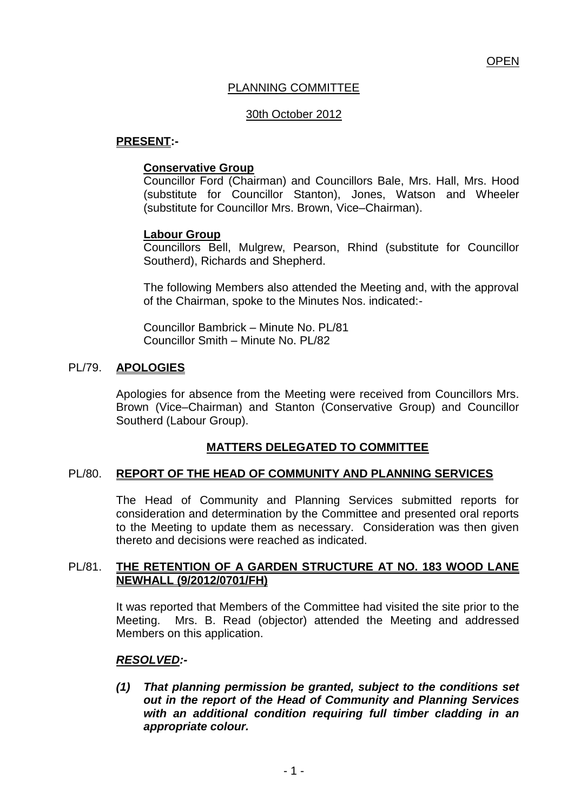# PLANNING COMMITTEE

### 30th October 2012

### **PRESENT:-**

### **Conservative Group**

Councillor Ford (Chairman) and Councillors Bale, Mrs. Hall, Mrs. Hood (substitute for Councillor Stanton), Jones, Watson and Wheeler (substitute for Councillor Mrs. Brown, Vice–Chairman).

## **Labour Group**

Councillors Bell, Mulgrew, Pearson, Rhind (substitute for Councillor Southerd), Richards and Shepherd.

The following Members also attended the Meeting and, with the approval of the Chairman, spoke to the Minutes Nos. indicated:-

Councillor Bambrick – Minute No. PL/81 Councillor Smith – Minute No. PL/82

## PL/79. **APOLOGIES**

Apologies for absence from the Meeting were received from Councillors Mrs. Brown (Vice–Chairman) and Stanton (Conservative Group) and Councillor Southerd (Labour Group).

# **MATTERS DELEGATED TO COMMITTEE**

#### PL/80. **REPORT OF THE HEAD OF COMMUNITY AND PLANNING SERVICES**

The Head of Community and Planning Services submitted reports for consideration and determination by the Committee and presented oral reports to the Meeting to update them as necessary. Consideration was then given thereto and decisions were reached as indicated.

#### PL/81. **THE RETENTION OF A GARDEN STRUCTURE AT NO. 183 WOOD LANE NEWHALL (9/2012/0701/FH)**

It was reported that Members of the Committee had visited the site prior to the Meeting. Mrs. B. Read (objector) attended the Meeting and addressed Members on this application.

#### *RESOLVED:-*

*(1) That planning permission be granted, subject to the conditions set out in the report of the Head of Community and Planning Services with an additional condition requiring full timber cladding in an appropriate colour.*